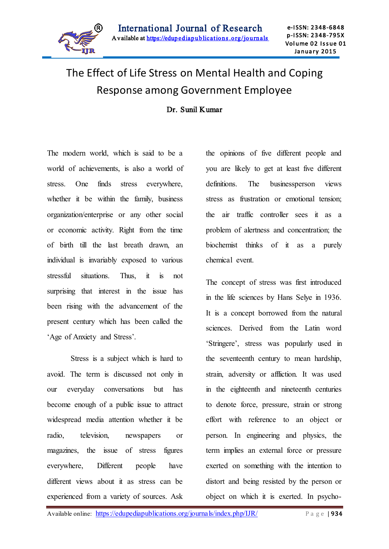

# The Effect of Life Stress on Mental Health and Coping Response among Government Employee

Dr. Sunil Kumar

The modern world, which is said to be a world of achievements, is also a world of stress. One finds stress everywhere, whether it be within the family, business organization/enterprise or any other social or economic activity. Right from the time of birth till the last breath drawn, an individual is invariably exposed to various stressful situations. Thus, it is not surprising that interest in the issue has been rising with the advancement of the present century which has been called the 'Age of Anxiety and Stress'.

Stress is a subject which is hard to avoid. The term is discussed not only in our everyday conversations but has become enough of a public issue to attract widespread media attention whether it be radio, television, newspapers or magazines, the issue of stress figures everywhere, Different people have different views about it as stress can be experienced from a variety of sources. Ask the opinions of five different people and you are likely to get at least five different definitions. The businessperson views stress as frustration or emotional tension; the air traffic controller sees it as a problem of alertness and concentration; the biochemist thinks of it as a purely chemical event.

The concept of stress was first introduced in the life sciences by Hans Selye in 1936. It is a concept borrowed from the natural sciences. Derived from the Latin word 'Stringere', stress was popularly used in the seventeenth century to mean hardship, strain, adversity or affliction. It was used in the eighteenth and nineteenth centuries to denote force, pressure, strain or strong effort with reference to an object or person. In engineering and physics, the term implies an external force or pressure exerted on something with the intention to distort and being resisted by the person or object on which it is exerted. In psycho-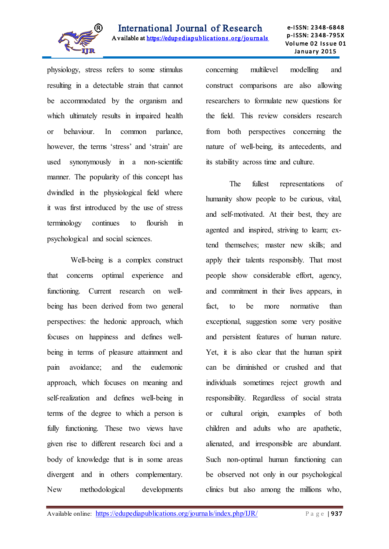

Ī physiology, stress refers to some stimulus resulting in a detectable strain that cannot be accommodated by the organism and which ultimately results in impaired health or behaviour. In common parlance, however, the terms 'stress' and 'strain' are used synonymously in a non-scientific manner. The popularity of this concept has dwindled in the physiological field where it was first introduced by the use of stress terminology continues to flourish in psychological and social sciences.

Well-being is a complex construct that concerns optimal experience and functioning. Current research on wellbeing has been derived from two general perspectives: the hedonic approach, which focuses on happiness and defines wellbeing in terms of pleasure attainment and pain avoidance; and the eudemonic approach, which focuses on meaning and self-realization and defines well-being in terms of the degree to which a person is fully functioning. These two views have given rise to different research foci and a body of knowledge that is in some areas divergent and in others complementary. New methodological developments concerning multilevel modelling and construct comparisons are also allowing researchers to formulate new questions for the field. This review considers research from both perspectives concerning the nature of well-being, its antecedents, and its stability across time and culture.

The fullest representations of humanity show people to be curious, vital, and self-motivated. At their best, they are agented and inspired, striving to learn; extend themselves; master new skills; and apply their talents responsibly. That most people show considerable effort, agency, and commitment in their lives appears, in fact, to be more normative than exceptional, suggestion some very positive and persistent features of human nature. Yet, it is also clear that the human spirit can be diminished or crushed and that individuals sometimes reject growth and responsibility. Regardless of social strata or cultural origin, examples of both children and adults who are apathetic, alienated, and irresponsible are abundant. Such non-optimal human functioning can be observed not only in our psychological clinics but also among the millions who,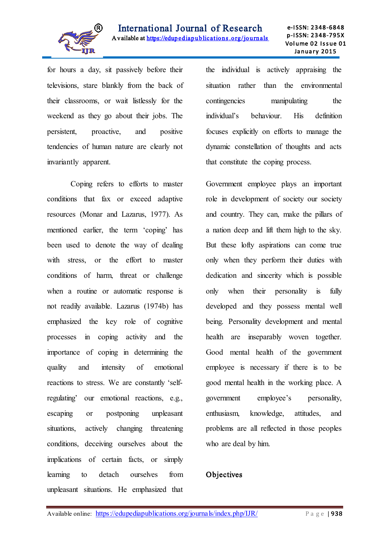

for hours a day, sit passively before their televisions, stare blankly from the back of their classrooms, or wait listlessly for the weekend as they go about their jobs. The persistent, proactive, and positive tendencies of human nature are clearly not invariantly apparent.

Coping refers to efforts to master conditions that fax or exceed adaptive resources (Monar and Lazarus, 1977). As mentioned earlier, the term 'coping' has been used to denote the way of dealing with stress, or the effort to master conditions of harm, threat or challenge when a routine or automatic response is not readily available. Lazarus (1974b) has emphasized the key role of cognitive processes in coping activity and the importance of coping in determining the quality and intensity of emotional reactions to stress. We are constantly 'selfregulating' our emotional reactions, e.g., escaping or postponing unpleasant situations, actively changing threatening conditions, deceiving ourselves about the implications of certain facts, or simply learning to detach ourselves from unpleasant situations. He emphasized that

the individual is actively appraising the situation rather than the environmental contingencies manipulating the individual's behaviour. His definition focuses explicitly on efforts to manage the dynamic constellation of thoughts and acts that constitute the coping process.

Government employee plays an important role in development of society our society and country. They can, make the pillars of a nation deep and lift them high to the sky. But these lofty aspirations can come true only when they perform their duties with dedication and sincerity which is possible only when their personality is fully developed and they possess mental well being. Personality development and mental health are inseparably woven together. Good mental health of the government employee is necessary if there is to be good mental health in the working place. A government employee's personality, enthusiasm, knowledge, attitudes, and problems are all reflected in those peoples who are deal by him.

#### **Objectives**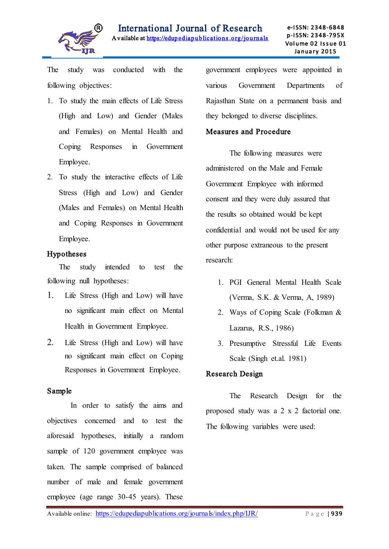

The study was conducted with the following objectives:

- 1. To study the main effects of Life Stress (High and Low) and Gender (Males and Females) on Mental Health and Coping Responses in Government Employee.
- 2. To study the interactive effects of Life Stress (High and Low) and Gender (Males and Females) on Mental Health and Coping Responses in Government Employee.

#### Hypotheses

The study intended to test the following null hypotheses:

- 1. Life Stress (High and Low) will have no significant main effect on Mental Health in Government Employee.
- 2. Life Stress (High and Low) will have no significant main effect on Coping Responses in Government Employee.

#### Sample

In order to satisfy the aims and objectives concerned and to test the aforesaid hypotheses, initially a random sample of 120 government employee was taken. The sample comprised of balanced number of male and female government employee (age range 30-45 years). These

government employees were appointed in various Government Departments of Rajasthan State on a permanent basis and they belonged to diverse disciplines.

#### Measures and Procedure

The following measures were administered on the Male and Female Government Employee with informed consent and they were duly assured that the results so obtained would be kept confidential and would not be used for any other purpose extraneous to the present research:

- 1. PGI General Mental Health Scale (Verma, S.K. & Verma, A, 1989)
- 2. Ways of Coping Scale (Folkman & Lazarus, R.S., 1986)
- 3. Presumptive Stressful Life Events Scale (Singh et.al. 1981)

#### Research Design

The Research Design for the proposed study was a 2 x 2 factorial one. The following variables were used: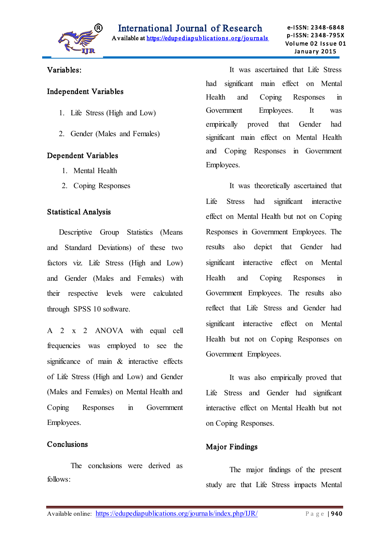

#### Ī Variables:

#### Independent Variables

- 1. Life Stress (High and Low)
- 2. Gender (Males and Females)

## Dependent Variables

- 1. Mental Health
- 2. Coping Responses

#### Statistical Analysis

Descriptive Group Statistics (Means and Standard Deviations) of these two factors viz. Life Stress (High and Low) and Gender (Males and Females) with their respective levels were calculated through SPSS 10 software.

A 2 x 2 ANOVA with equal cell frequencies was employed to see the significance of main & interactive effects of Life Stress (High and Low) and Gender (Males and Females) on Mental Health and Coping Responses in Government Employees.

## Conclusions

 The conclusions were derived as follows:

It was ascertained that Life Stress had significant main effect on Mental Health and Coping Responses in Government Employees. It was empirically proved that Gender had significant main effect on Mental Health and Coping Responses in Government Employees.

It was theoretically ascertained that Life Stress had significant interactive effect on Mental Health but not on Coping Responses in Government Employees. The results also depict that Gender had significant interactive effect on Mental Health and Coping Responses in Government Employees. The results also reflect that Life Stress and Gender had significant interactive effect on Mental Health but not on Coping Responses on Government Employees.

It was also empirically proved that Life Stress and Gender had significant interactive effect on Mental Health but not on Coping Responses.

## Major Findings

The major findings of the present study are that Life Stress impacts Mental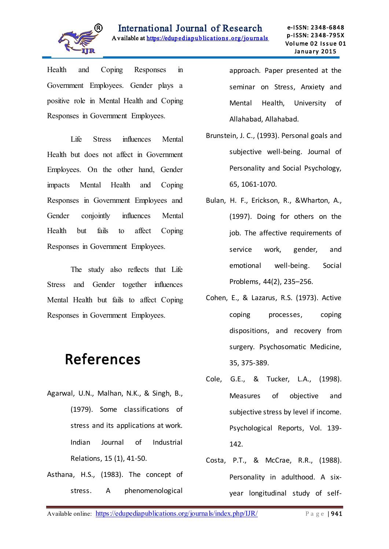

Health and Coping Responses in Government Employees. Gender plays a positive role in Mental Health and Coping Responses in Government Employees.

Life Stress influences Mental Health but does not affect in Government Employees. On the other hand, Gender impacts Mental Health and Coping Responses in Government Employees and Gender conjointly influences Mental Health but fails to affect Coping Responses in Government Employees.

The study also reflects that Life Stress and Gender together influences Mental Health but fails to affect Coping Responses in Government Employees.

# References

- Agarwal, U.N., Malhan, N.K., & Singh, B., (1979). Some classifications of stress and its applications at work. Indian Journal of Industrial Relations, 15 (1), 41-50.
- Asthana, H.S., (1983). The concept of stress. A phenomenological

approach. Paper presented at the seminar on Stress, Anxiety and Mental Health, University of Allahabad, Allahabad.

- Brunstein, J. C., (1993). Personal goals and subjective well-being. Journal of Personality and Social Psychology, 65, 1061-1070.
- Bulan, H. F., Erickson, R., &Wharton, A., (1997). Doing for others on the job. The affective requirements of service work, gender, and emotional well-being. Social Problems, 44(2), 235–256.
- Cohen, E., & Lazarus, R.S. (1973). Active coping processes, coping dispositions, and recovery from surgery. Psychosomatic Medicine, 35, 375-389.
- Cole, G.E., & Tucker, L.A., (1998). Measures of objective and subjective stress by level if income. Psychological Reports, Vol. 139- 142.
- Costa, P.T., & McCrae, R.R., (1988). Personality in adulthood. A sixyear longitudinal study of self-